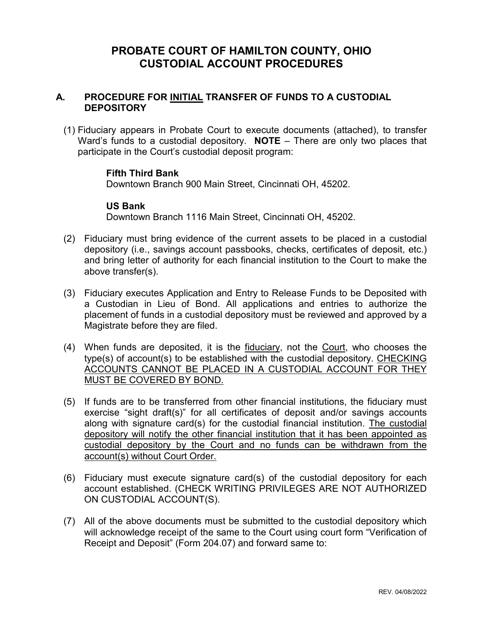## **PROBATE COURT OF HAMILTON COUNTY, OHIO CUSTODIAL ACCOUNT PROCEDURES**

### **A. PROCEDURE FOR INITIAL TRANSFER OF FUNDS TO A CUSTODIAL DEPOSITORY**

(1) Fiduciary appears in Probate Court to execute documents (attached), to transfer Ward's funds to a custodial depository. **NOTE** – There are only two places that participate in the Court's custodial deposit program:

#### **Fifth Third Bank**

Downtown Branch 900 Main Street, Cincinnati OH, 45202.

#### **US Bank**

Downtown Branch 1116 Main Street, Cincinnati OH, 45202.

- (2) Fiduciary must bring evidence of the current assets to be placed in a custodial depository (i.e., savings account passbooks, checks, certificates of deposit, etc.) and bring letter of authority for each financial institution to the Court to make the above transfer(s).
- (3) Fiduciary executes Application and Entry to Release Funds to be Deposited with a Custodian in Lieu of Bond. All applications and entries to authorize the placement of funds in a custodial depository must be reviewed and approved by a Magistrate before they are filed.
- (4) When funds are deposited, it is the fiduciary, not the Court, who chooses the type(s) of account(s) to be established with the custodial depository. CHECKING ACCOUNTS CANNOT BE PLACED IN A CUSTODIAL ACCOUNT FOR THEY MUST BE COVERED BY BOND.
- (5) If funds are to be transferred from other financial institutions, the fiduciary must exercise "sight draft(s)" for all certificates of deposit and/or savings accounts along with signature card(s) for the custodial financial institution. The custodial depository will notify the other financial institution that it has been appointed as custodial depository by the Court and no funds can be withdrawn from the account(s) without Court Order.
- (6) Fiduciary must execute signature card(s) of the custodial depository for each account established. (CHECK WRITING PRIVILEGES ARE NOT AUTHORIZED ON CUSTODIAL ACCOUNT(S).
- (7) All of the above documents must be submitted to the custodial depository which will acknowledge receipt of the same to the Court using court form "Verification of Receipt and Deposit" (Form 204.07) and forward same to: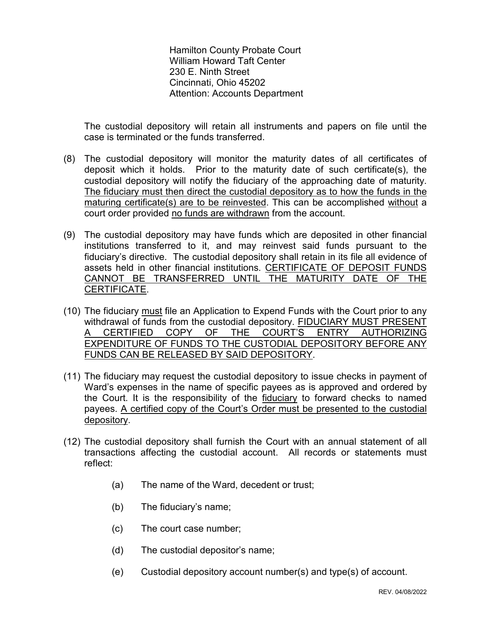Hamilton County Probate Court William Howard Taft Center 230 E. Ninth Street Cincinnati, Ohio 45202 Attention: Accounts Department

The custodial depository will retain all instruments and papers on file until the case is terminated or the funds transferred.

- (8) The custodial depository will monitor the maturity dates of all certificates of deposit which it holds. Prior to the maturity date of such certificate(s), the custodial depository will notify the fiduciary of the approaching date of maturity. The fiduciary must then direct the custodial depository as to how the funds in the maturing certificate(s) are to be reinvested. This can be accomplished without a court order provided no funds are withdrawn from the account.
- (9) The custodial depository may have funds which are deposited in other financial institutions transferred to it, and may reinvest said funds pursuant to the fiduciary's directive. The custodial depository shall retain in its file all evidence of assets held in other financial institutions. CERTIFICATE OF DEPOSIT FUNDS CANNOT BE TRANSFERRED UNTIL THE MATURITY DATE OF THE CERTIFICATE.
- (10) The fiduciary must file an Application to Expend Funds with the Court prior to any withdrawal of funds from the custodial depository. FIDUCIARY MUST PRESENT<br>A CERTIFIED COPY OF THE COURT'S ENTRY AUTHORIZING CERTIFIED COPY OF THE COURT'S ENTRY EXPENDITURE OF FUNDS TO THE CUSTODIAL DEPOSITORY BEFORE ANY FUNDS CAN BE RELEASED BY SAID DEPOSITORY.
- (11) The fiduciary may request the custodial depository to issue checks in payment of Ward's expenses in the name of specific payees as is approved and ordered by the Court. It is the responsibility of the fiduciary to forward checks to named payees. A certified copy of the Court's Order must be presented to the custodial depository.
- (12) The custodial depository shall furnish the Court with an annual statement of all transactions affecting the custodial account. All records or statements must reflect:
	- (a) The name of the Ward, decedent or trust;
	- (b) The fiduciary's name;
	- (c) The court case number;
	- (d) The custodial depositor's name;
	- (e) Custodial depository account number(s) and type(s) of account.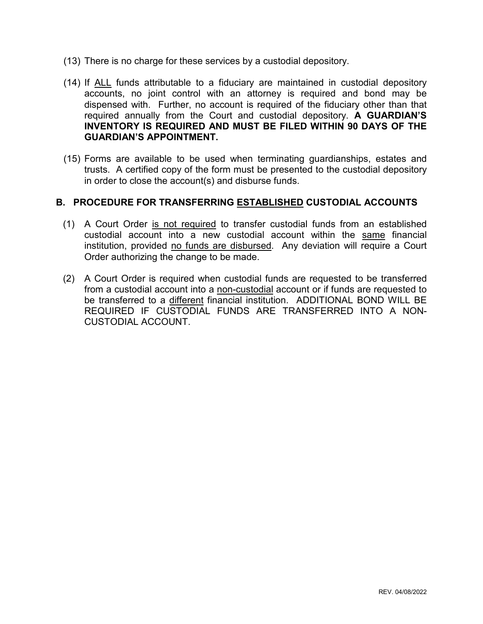- (13) There is no charge for these services by a custodial depository.
- (14) If ALL funds attributable to a fiduciary are maintained in custodial depository accounts, no joint control with an attorney is required and bond may be dispensed with. Further, no account is required of the fiduciary other than that required annually from the Court and custodial depository. **A GUARDIAN'S INVENTORY IS REQUIRED AND MUST BE FILED WITHIN 90 DAYS OF THE GUARDIAN'S APPOINTMENT.**
- (15) Forms are available to be used when terminating guardianships, estates and trusts. A certified copy of the form must be presented to the custodial depository in order to close the account(s) and disburse funds.

#### **B. PROCEDURE FOR TRANSFERRING ESTABLISHED CUSTODIAL ACCOUNTS**

- (1) A Court Order is not required to transfer custodial funds from an established custodial account into a new custodial account within the same financial institution, provided no funds are disbursed. Any deviation will require a Court Order authorizing the change to be made.
- (2) A Court Order is required when custodial funds are requested to be transferred from a custodial account into a non-custodial account or if funds are requested to be transferred to a different financial institution. ADDITIONAL BOND WILL BE REQUIRED IF CUSTODIAL FUNDS ARE TRANSFERRED INTO A NON-CUSTODIAL ACCOUNT.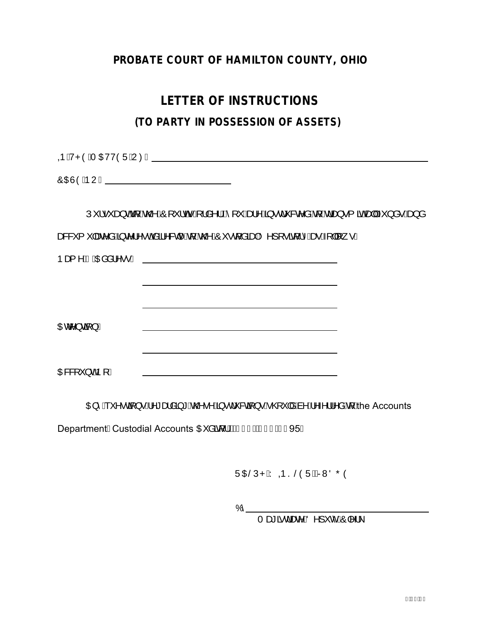## **PROBATE COURT OF HAMILTON COUNTY, OHIO**

# **LETTER OF INSTRUCTIONS**

## **(TO PARTY IN POSSESSION OF ASSETS)**

**QEÁ/PÒÁT CEVÒÜÁJØK ETA ARREST ETA ARREST ETA ARREST ETA ARREST ETA ARREST ETA ARREST ETA ARREST ETA ARREST ET** 

&\$6(12

Ú"¦•ˇæ}oAq[Áo@^ÁÖ[ˇ¦oGÁ[¦å^¦ÉÁ[ˇÁæ}^Á§∙dˇ&c^åÁq[Ádæ}∙{ãoAæ]Ái}å∙Áæ}å as&'{ "|as<sup>x</sup>aÁ§ c^¦^• châã^&d^Á§ Áo@ÁÔ "• d'aãnekÖ^][ • ã[¦^Áæ Á ||[ | • K 1DPH \$GGUHVV

 $O$   $E$  $C^{\wedge}$ } $\overline{G}$ } $K$ OB&Y `} o4 p[È

QE^Á \*^•ca[}•Á^\*æåa3 \*Áo@•^Á§•d \*&ca[}•Á @ \*|åÁa^Á^*~*·¦¦^åÁa{Áhe Accounts

DepartmentÊCustodial Accounts CE å af IBC FHDUI Î EH 95È

ÜDBŠÚPÁY ODSŠÓÜÉÁRNÖŐÓ

 $\sigma$ 

Tæ\*ãrdæn^BĎ^]ˇĉÁÔ|^¦\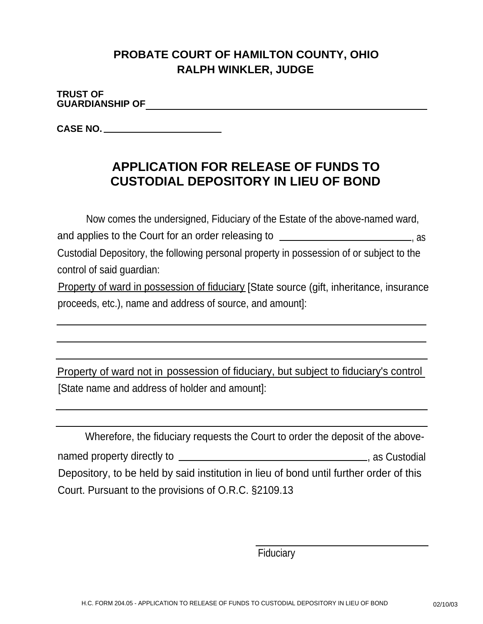# **PROBATE COURT OF HAMILTON COUNTY, OHIO RALPH WINKLER, JUDGE**

**TRUST OF GUARDIANSHIP OF**

**CASE NO.**

# **APPLICATION FOR RELEASE OF FUNDS TO CUSTODIAL DEPOSITORY IN LIEU OF BOND**

Now comes the undersigned, Fiduciary of the Estate of the above-named ward, and applies to the Court for an order releasing to  $\frac{1}{\sqrt{1-\frac{1}{n}}}\frac{1}{\sqrt{1-\frac{1}{n}}}\frac{1}{\sqrt{1-\frac{1}{n}}}\frac{1}{\sqrt{1-\frac{1}{n}}}\frac{1}{\sqrt{1-\frac{1}{n}}}\frac{1}{\sqrt{1-\frac{1}{n}}}\frac{1}{\sqrt{1-\frac{1}{n}}}\frac{1}{\sqrt{1-\frac{1}{n}}}\frac{1}{\sqrt{1-\frac{1}{n}}}\frac{1}{\sqrt{1-\frac{1}{n}}}\frac{1}{\sqrt{1-\$ Custodial Depository, the following personal property in possession of or subject to the control of said guardian:

Property of ward in possession of fiduciary [State source (gift, inheritance, insurance proceeds, etc.), name and address of source, and amount]:

Property of ward not in possession of fiduciary, but subject to fiduciary's control [State name and address of holder and amount]:

| Wherefore, the fiduciary requests the Court to order the deposit of the above-         |                 |
|----------------------------------------------------------------------------------------|-----------------|
|                                                                                        | ., as Custodial |
| Depository, to be held by said institution in lieu of bond until further order of this |                 |
| Court. Pursuant to the provisions of O.R.C. §2109.13                                   |                 |

**Fiduciary**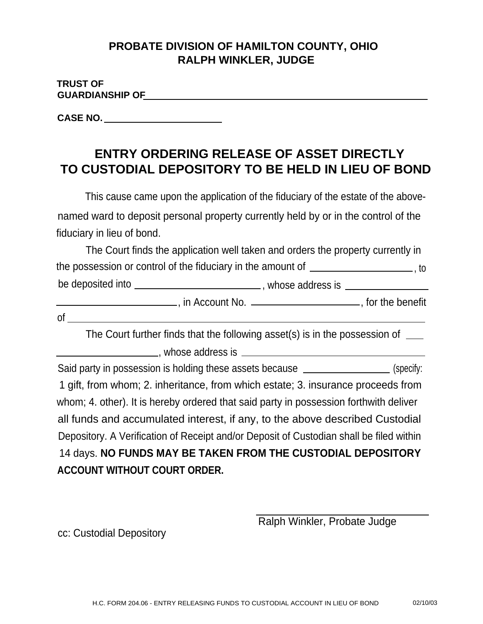## **PROBATE DIVISION OF HAMILTON COUNTY, OHIO RALPH WINKLER, JUDGE**

| <b>TRUST OF</b>        |  |  |
|------------------------|--|--|
| <b>GUARDIANSHIP OF</b> |  |  |
|                        |  |  |

**CASE NO.**

# **ENTRY ORDERING RELEASE OF ASSET DIRECTLY TO CUSTODIAL DEPOSITORY TO BE HELD IN LIEU OF BOND**

This cause came upon the application of the fiduciary of the estate of the abovenamed ward to deposit personal property currently held by or in the control of the fiduciary in lieu of bond.

|                   | The Court finds the application well taken and orders the property currently in |                   |
|-------------------|---------------------------------------------------------------------------------|-------------------|
|                   | the possession or control of the fiduciary in the amount of                     | to                |
| be deposited into | whose address is                                                                |                   |
|                   | in Account No. __                                                               | , for the benefit |

|                         | ۰. |
|-------------------------|----|
| ۰.<br>۰.<br>×<br>w<br>v |    |

The Court further finds that the following asset(s) is in the possession of

**Notified and Section 2018**, whose address is <u>the contract of the section</u> and set of the section of the section of the section of the section of the section of the section of the section of the section of the section of

Said party in possession is holding these assets because  $\frac{1}{\sqrt{2\pi}}$  (specify: 1 gift, from whom; 2. inheritance, from which estate; 3. insurance proceeds from whom; 4. other). It is hereby ordered that said party in possession forthwith deliver all funds and accumulated interest, if any, to the above described Custodial Depository. A Verification of Receipt and/or Deposit of Custodian shall be filed within 14 days. **NO FUNDS MAY BE TAKEN FROM THE CUSTODIAL DEPOSITORY ACCOUNT WITHOUT COURT ORDER.**

Ralph Winkler, Probate Judge

cc: Custodial Depository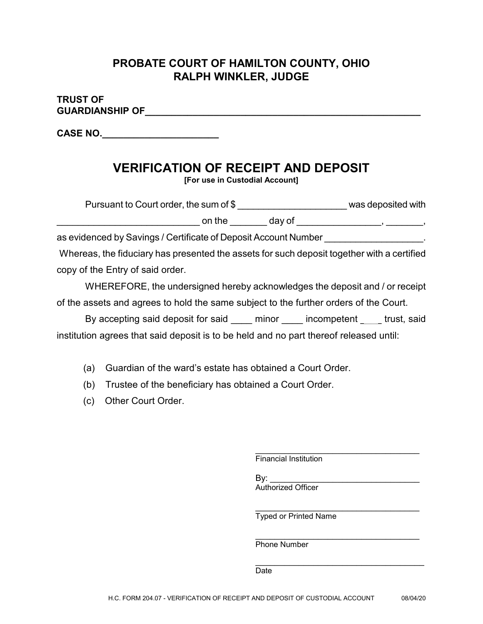## **PROBATE COURT OF HAMILTON COUNTY, OHIO RALPH WINKLER, JUDGE**

### **TRUST OF GUARDIANSHIP OF GUARDIANSHIP**

**CASE NO.\_\_\_\_\_\_\_\_\_\_\_\_\_\_\_\_\_\_\_\_\_\_**

# **VERIFICATION OF RECEIPT AND DEPOSIT**

**[For use in Custodial Account]**

| Pursuant to Court order, the sum of \$ |        | was deposited with |
|----------------------------------------|--------|--------------------|
| on the                                 | dav of |                    |

as evidenced by Savings / Certificate of Deposit Account Number

Whereas, the fiduciary has presented the assets for such deposit together with a certified copy of the Entry of said order.

WHEREFORE, the undersigned hereby acknowledges the deposit and / or receipt of the assets and agrees to hold the same subject to the further orders of the Court.

By accepting said deposit for said \_\_\_\_ minor \_\_\_\_ incompetent \_\_\_\_ trust, said institution agrees that said deposit is to be held and no part thereof released until:

- (a) Guardian of the ward's estate has obtained a Court Order.
- (b) Trustee of the beneficiary has obtained a Court Order.
- (c) Other Court Order.

 $\mathcal{L}_\text{max}$  and  $\mathcal{L}_\text{max}$  and  $\mathcal{L}_\text{max}$  and  $\mathcal{L}_\text{max}$ Financial Institution

By: Authorized Officer

\_\_\_\_\_\_\_\_\_\_\_\_\_\_\_\_\_\_\_\_\_\_\_\_\_\_\_\_\_\_\_\_\_\_ Typed or Printed Name

\_\_\_\_\_\_\_\_\_\_\_\_\_\_\_\_\_\_\_\_\_\_\_\_\_\_\_\_\_\_\_\_\_\_

Phone Number

 $\mathcal{L}_\text{max}$  and  $\mathcal{L}_\text{max}$  and  $\mathcal{L}_\text{max}$  and  $\mathcal{L}_\text{max}$ Date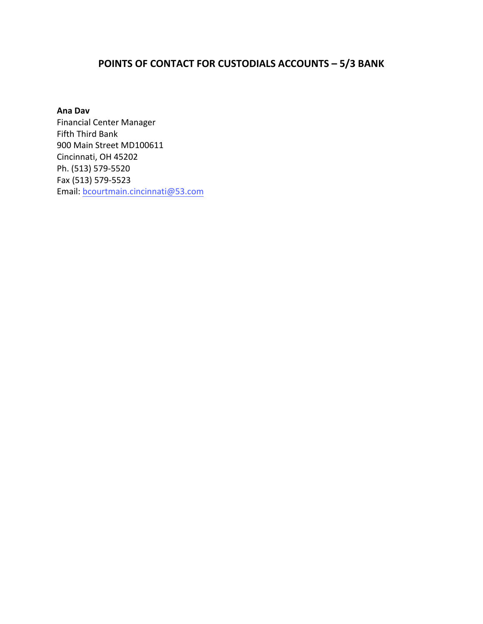### **POINTS OF CONTACT FOR CUSTODIALS ACCOUNTS – 5/3 BANK**

#### **Ana Dav**

Financial Center Manager Fifth Third Bank 900 Main Street MD100611 Cincinnati, OH 45202 Ph. (513) 579-5520 Fax (513) 579-5523 Email: bcourtmain.cincinnati@53.com